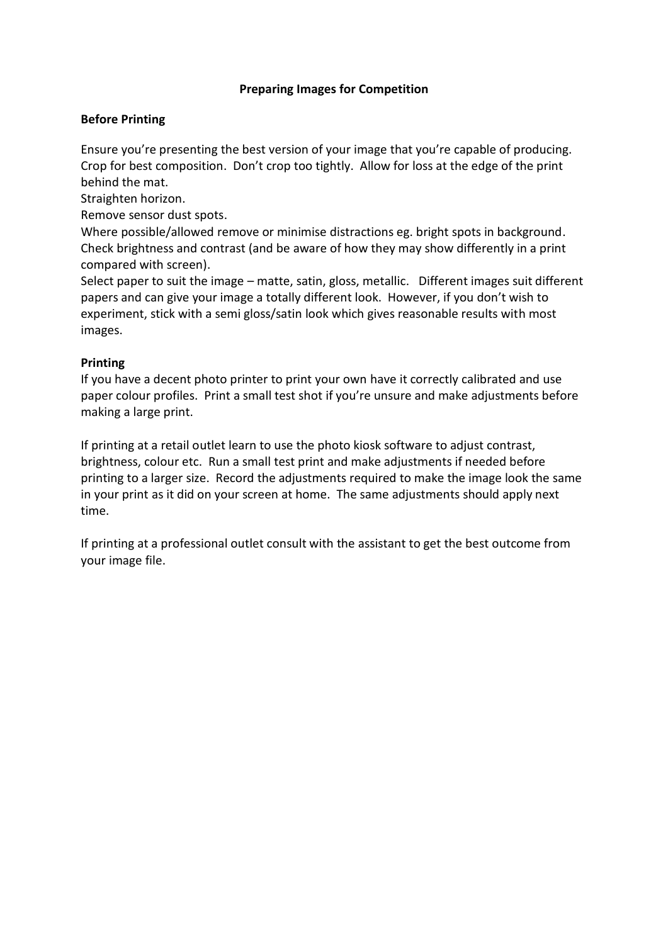## **Preparing Images for Competition**

## **Before Printing**

Ensure you're presenting the best version of your image that you're capable of producing. Crop for best composition. Don't crop too tightly. Allow for loss at the edge of the print behind the mat.

Straighten horizon.

Remove sensor dust spots.

Where possible/allowed remove or minimise distractions eg. bright spots in background. Check brightness and contrast (and be aware of how they may show differently in a print compared with screen).

Select paper to suit the image – matte, satin, gloss, metallic. Different images suit different papers and can give your image a totally different look. However, if you don't wish to experiment, stick with a semi gloss/satin look which gives reasonable results with most images.

## **Printing**

If you have a decent photo printer to print your own have it correctly calibrated and use paper colour profiles. Print a small test shot if you're unsure and make adjustments before making a large print.

If printing at a retail outlet learn to use the photo kiosk software to adjust contrast, brightness, colour etc. Run a small test print and make adjustments if needed before printing to a larger size. Record the adjustments required to make the image look the same in your print as it did on your screen at home. The same adjustments should apply next time.

If printing at a professional outlet consult with the assistant to get the best outcome from your image file.